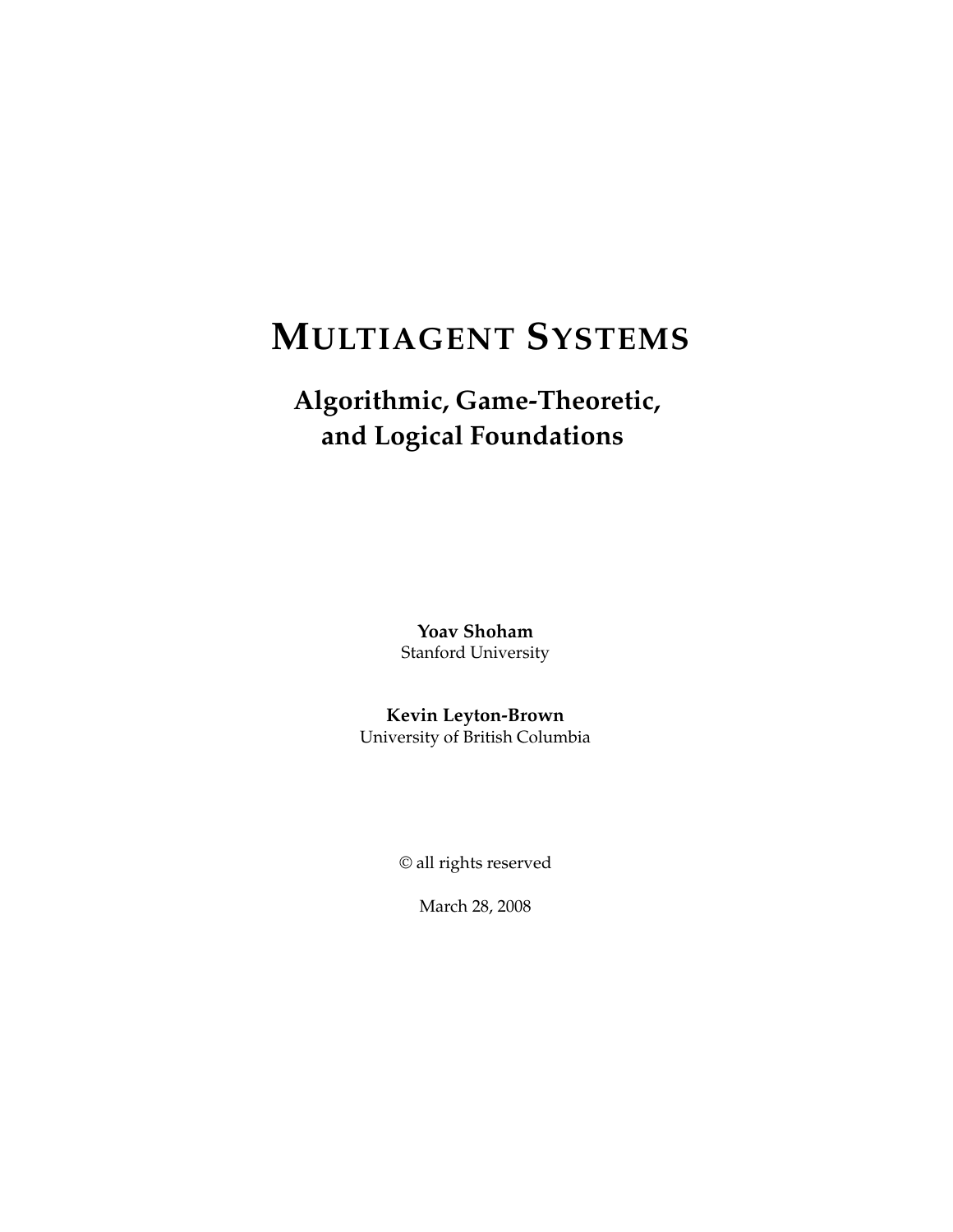# **MULTIAGENT SYSTEMS**

## **Algorithmic, Game-Theoretic, and Logical Foundations**

**Yoav Shoham** Stanford University

**Kevin Leyton-Brown** University of British Columbia

© all rights reserved

March 28, 2008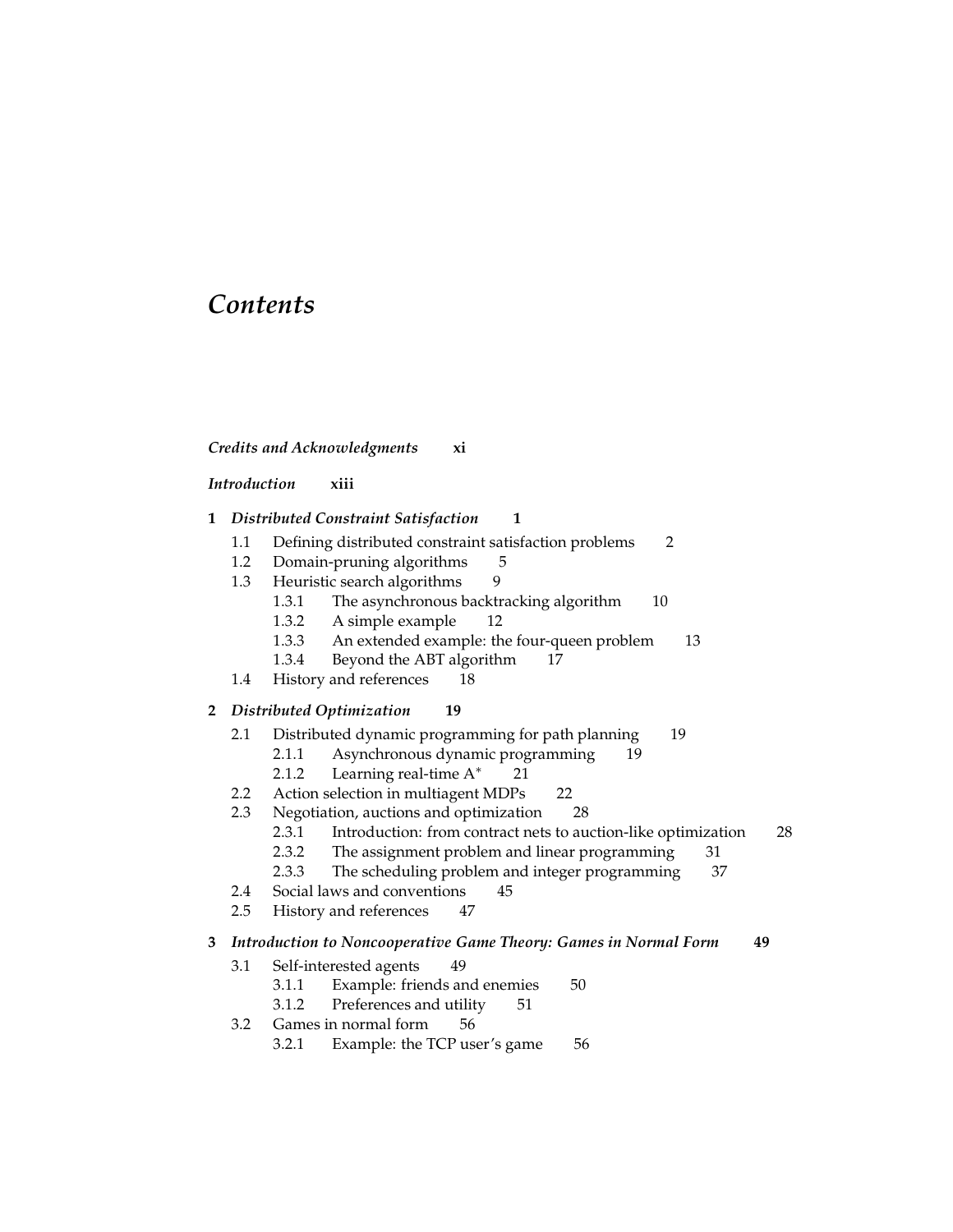### *Contents*

#### *Credits and Acknowledgments* **xi**

#### *Introduction* **xiii**

- **1** *Distributed Constraint Satisfaction* **1**
	- 1.1 Defining distributed constraint satisfaction problems 2
	- 1.2 Domain-pruning algorithms 5
	- 1.3 Heuristic search algorithms 9
		- 1.3.1 The asynchronous backtracking algorithm 10
		- 1.3.2 A simple example 12
		- 1.3.3 An extended example: the four-queen problem 13
		- 1.3.4 Beyond the ABT algorithm 17
	- 1.4 History and references 18

#### **2** *Distributed Optimization* **19**

- 2.1 Distributed dynamic programming for path planning 19
	- 2.1.1 Asynchronous dynamic programming 19
	- 2.1.2 Learning real-time A<sup>\*</sup> 21
- 2.2 Action selection in multiagent MDPs 22
- 2.3 Negotiation, auctions and optimization 28
	- 2.3.1 Introduction: from contract nets to auction-like optimization 28
	- 2.3.2 The assignment problem and linear programming 31
	- 2.3.3 The scheduling problem and integer programming 37
- 2.4 Social laws and conventions 45
- 2.5 History and references 47

#### **3** *Introduction to Noncooperative Game Theory: Games in Normal Form* **49**

- 3.1 Self-interested agents 49
	- 3.1.1 Example: friends and enemies 50
	- 3.1.2 Preferences and utility 51
- 3.2 Games in normal form 56
	- 3.2.1 Example: the TCP user's game 56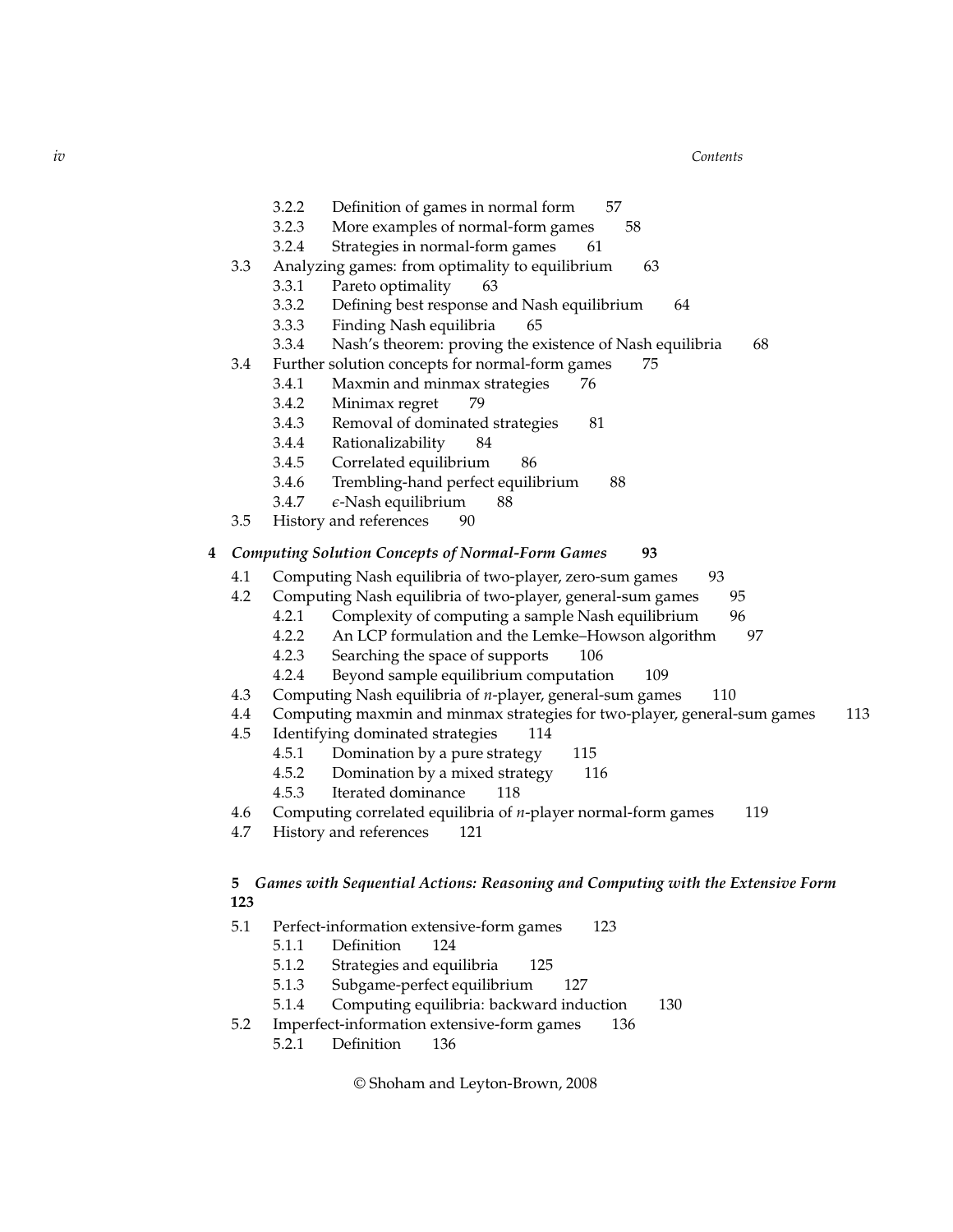*iv Contents*

- 3.2.2 Definition of games in normal form 57
- 3.2.3 More examples of normal-form games 58
- 3.2.4 Strategies in normal-form games 61
- 3.3 Analyzing games: from optimality to equilibrium 63
	- 3.3.1 Pareto optimality 63
	- 3.3.2 Defining best response and Nash equilibrium 64
	- 3.3.3 Finding Nash equilibria 65
	- 3.3.4 Nash's theorem: proving the existence of Nash equilibria 68
- 3.4 Further solution concepts for normal-form games 75
	- 3.4.1 Maxmin and minmax strategies 76
	- 3.4.2 Minimax regret 79
	- 3.4.3 Removal of dominated strategies 81
	- 3.4.4 Rationalizability 84
	- 3.4.5 Correlated equilibrium 86
	- 3.4.6 Trembling-hand perfect equilibrium 88
	- 3.4.7 *ǫ*-Nash equilibrium 88
- 3.5 History and references 90
- **4** *Computing Solution Concepts of Normal-Form Games* **93**
	- 4.1 Computing Nash equilibria of two-player, zero-sum games 93
	- 4.2 Computing Nash equilibria of two-player, general-sum games 95
		- 4.2.1 Complexity of computing a sample Nash equilibrium 96
		- 4.2.2 An LCP formulation and the Lemke–Howson algorithm 97
		- 4.2.3 Searching the space of supports 106
		- 4.2.4 Beyond sample equilibrium computation 109
	- 4.3 Computing Nash equilibria of *n*-player, general-sum games 110
	- 4.4 Computing maxmin and minmax strategies for two-player, general-sum games 113
	- 4.5 Identifying dominated strategies 114
		- 4.5.1 Domination by a pure strategy 115
		- 4.5.2 Domination by a mixed strategy 116
		- 4.5.3 Iterated dominance 118
	- 4.6 Computing correlated equilibria of *n*-player normal-form games 119
	- 4.7 History and references 121

#### **5** *Games with Sequential Actions: Reasoning and Computing with the Extensive Form* **123**

- 5.1 Perfect-information extensive-form games 123
	- 5.1.1 Definition 124
	- 5.1.2 Strategies and equilibria 125
	- 5.1.3 Subgame-perfect equilibrium 127
	- 5.1.4 Computing equilibria: backward induction 130
- 5.2 Imperfect-information extensive-form games 136 5.2.1 Definition 136

© Shoham and Leyton-Brown, 2008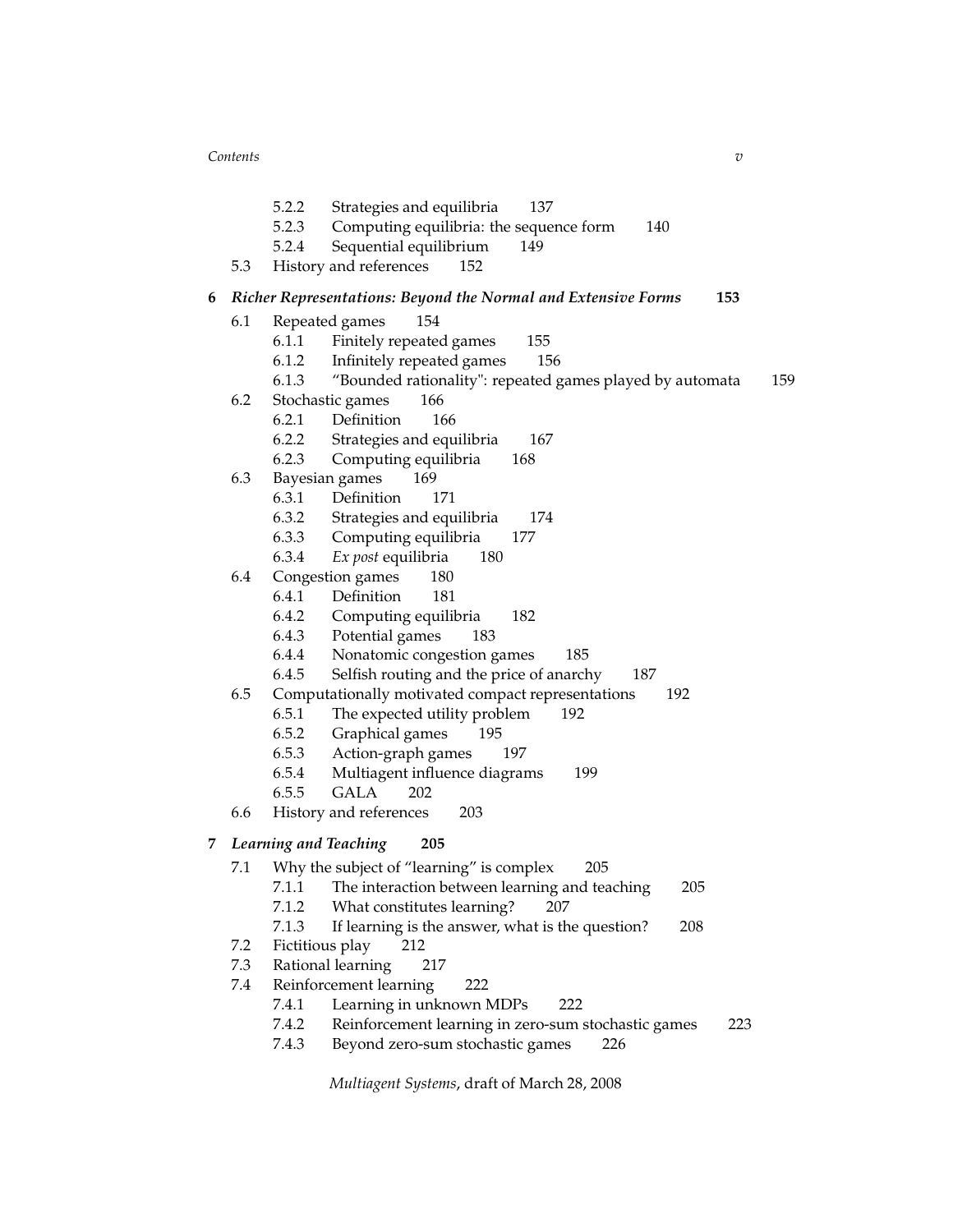*Contents v*

- 5.2.2 Strategies and equilibria 137
- 5.2.3 Computing equilibria: the sequence form 140
- 5.2.4 Sequential equilibrium 149
- 5.3 History and references 152
- **6** *Richer Representations: Beyond the Normal and Extensive Forms* **153**
	- 6.1 Repeated games 154
		- 6.1.1 Finitely repeated games 155
		- 6.1.2 Infinitely repeated games 156
		- 6.1.3 "Bounded rationality": repeated games played by automata 159
	- 6.2 Stochastic games 166
		- 6.2.1 Definition 166
		- 6.2.2 Strategies and equilibria 167
		- 6.2.3 Computing equilibria 168
	- 6.3 Bayesian games 169
		- 6.3.1 Definition 171
		- 6.3.2 Strategies and equilibria 174
		- 6.3.3 Computing equilibria 177
		- 6.3.4 *Ex post* equilibria 180
	- 6.4 Congestion games 180
		- 6.4.1 Definition 181
		- 6.4.2 Computing equilibria 182
		- 6.4.3 Potential games 183
		- 6.4.4 Nonatomic congestion games 185
		- 6.4.5 Selfish routing and the price of anarchy 187
	- 6.5 Computationally motivated compact representations 192
		- 6.5.1 The expected utility problem 192
		- 6.5.2 Graphical games 195
		- 6.5.3 Action-graph games 197
		- 6.5.4 Multiagent influence diagrams 199
		- 6.5.5 GALA 202
	- 6.6 History and references 203
- **7** *Learning and Teaching* **205**
	- 7.1 Why the subject of "learning" is complex 205
		- 7.1.1 The interaction between learning and teaching 205
		- 7.1.2 What constitutes learning? 207
		- 7.1.3 If learning is the answer, what is the question? 208
	- 7.2 Fictitious play 212
	- 7.3 Rational learning 217
	- 7.4 Reinforcement learning 222
		- 7.4.1 Learning in unknown MDPs 222
		- 7.4.2 Reinforcement learning in zero-sum stochastic games 223
		- 7.4.3 Beyond zero-sum stochastic games 226

*Multiagent Systems*, draft of March 28, 2008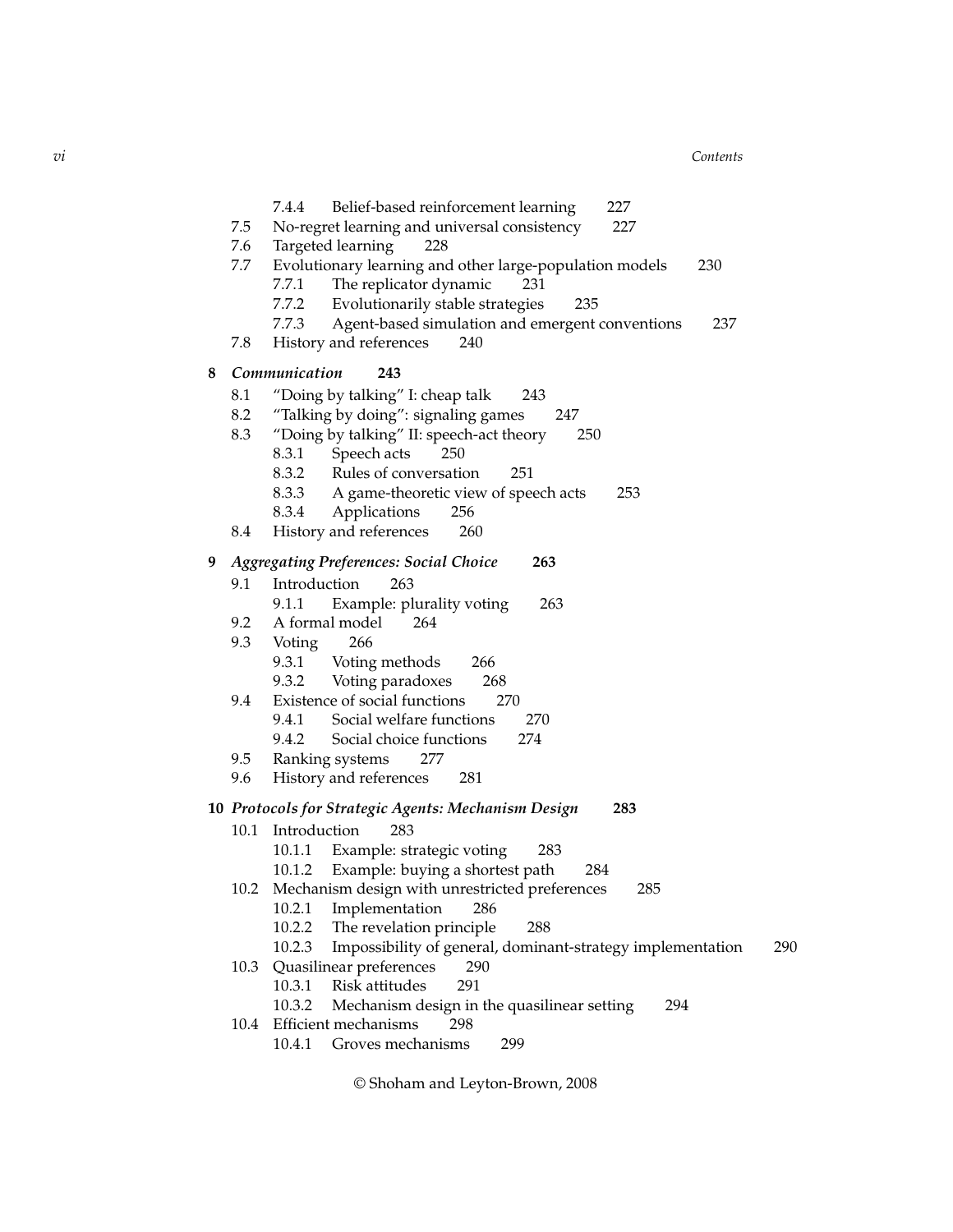|   | $7.5\,$              | 7.4.4<br>Belief-based reinforcement learning<br>227<br>227<br>No-regret learning and universal consistency                                                                                                                                                                                               |  |  |  |  |  |
|---|----------------------|----------------------------------------------------------------------------------------------------------------------------------------------------------------------------------------------------------------------------------------------------------------------------------------------------------|--|--|--|--|--|
|   | 7.6<br>7.7           | Targeted learning<br>228<br>Evolutionary learning and other large-population models<br>230<br>The replicator dynamic<br>7.7.1<br>231<br>7.7.2<br>Evolutionarily stable strategies<br>235                                                                                                                 |  |  |  |  |  |
|   | 7.8                  | Agent-based simulation and emergent conventions<br>7.7.3<br>237<br>History and references<br>240                                                                                                                                                                                                         |  |  |  |  |  |
| 8 | Communication<br>243 |                                                                                                                                                                                                                                                                                                          |  |  |  |  |  |
|   | 8.1<br>8.2<br>8.3    | "Doing by talking" I: cheap talk<br>243<br>"Talking by doing": signaling games<br>247<br>"Doing by talking" II: speech-act theory<br>250<br>Speech acts<br>8.3.1<br>250<br>8.3.2<br>Rules of conversation<br>251<br>8.3.3<br>A game-theoretic view of speech acts<br>253<br>8.3.4<br>Applications<br>256 |  |  |  |  |  |
|   | 8.4                  | History and references<br>260                                                                                                                                                                                                                                                                            |  |  |  |  |  |
| 9 |                      | <b>Aggregating Preferences: Social Choice</b><br>263                                                                                                                                                                                                                                                     |  |  |  |  |  |
|   | 9.1                  | Introduction<br>263<br>Example: plurality voting<br>263<br>9.1.1                                                                                                                                                                                                                                         |  |  |  |  |  |
|   | 9.2                  | A formal model<br>264                                                                                                                                                                                                                                                                                    |  |  |  |  |  |
|   | 9.3                  | Voting<br>266                                                                                                                                                                                                                                                                                            |  |  |  |  |  |
|   |                      | 9.3.1<br>Voting methods<br>266                                                                                                                                                                                                                                                                           |  |  |  |  |  |
|   | 9.4                  | Voting paradoxes<br>9.3.2<br>268<br>Existence of social functions<br>270                                                                                                                                                                                                                                 |  |  |  |  |  |
|   |                      | Social welfare functions<br>9.4.1<br>270                                                                                                                                                                                                                                                                 |  |  |  |  |  |
|   |                      | 9.4.2<br>Social choice functions<br>274                                                                                                                                                                                                                                                                  |  |  |  |  |  |
|   | 9.5                  | Ranking systems<br>277                                                                                                                                                                                                                                                                                   |  |  |  |  |  |
|   | 9.6                  | History and references<br>281                                                                                                                                                                                                                                                                            |  |  |  |  |  |
|   |                      | 10  Protocols for Strategic Agents: Mechanism Design<br>283                                                                                                                                                                                                                                              |  |  |  |  |  |
|   | 10.1                 | 283<br>Introduction                                                                                                                                                                                                                                                                                      |  |  |  |  |  |
|   |                      | 10.1.1 Example: strategic voting<br>283                                                                                                                                                                                                                                                                  |  |  |  |  |  |
|   | 10.2                 | 10.1.2 Example: buying a shortest path<br>284<br>Mechanism design with unrestricted preferences<br>285                                                                                                                                                                                                   |  |  |  |  |  |
|   |                      | 10.2.1<br>Implementation<br>286                                                                                                                                                                                                                                                                          |  |  |  |  |  |
|   |                      | 10.2.2<br>The revelation principle<br>288                                                                                                                                                                                                                                                                |  |  |  |  |  |
|   |                      | Impossibility of general, dominant-strategy implementation<br>10.2.3<br>290                                                                                                                                                                                                                              |  |  |  |  |  |
|   | 10.3                 | Quasilinear preferences<br>290<br>Risk attitudes<br>10.3.1<br>291                                                                                                                                                                                                                                        |  |  |  |  |  |
|   |                      | 10.3.2<br>Mechanism design in the quasilinear setting<br>294                                                                                                                                                                                                                                             |  |  |  |  |  |
|   | 10.4                 | Efficient mechanisms<br>298                                                                                                                                                                                                                                                                              |  |  |  |  |  |
|   |                      | 10.4.1<br>Groves mechanisms<br>299                                                                                                                                                                                                                                                                       |  |  |  |  |  |
|   |                      |                                                                                                                                                                                                                                                                                                          |  |  |  |  |  |

© Shoham and Leyton-Brown, 2008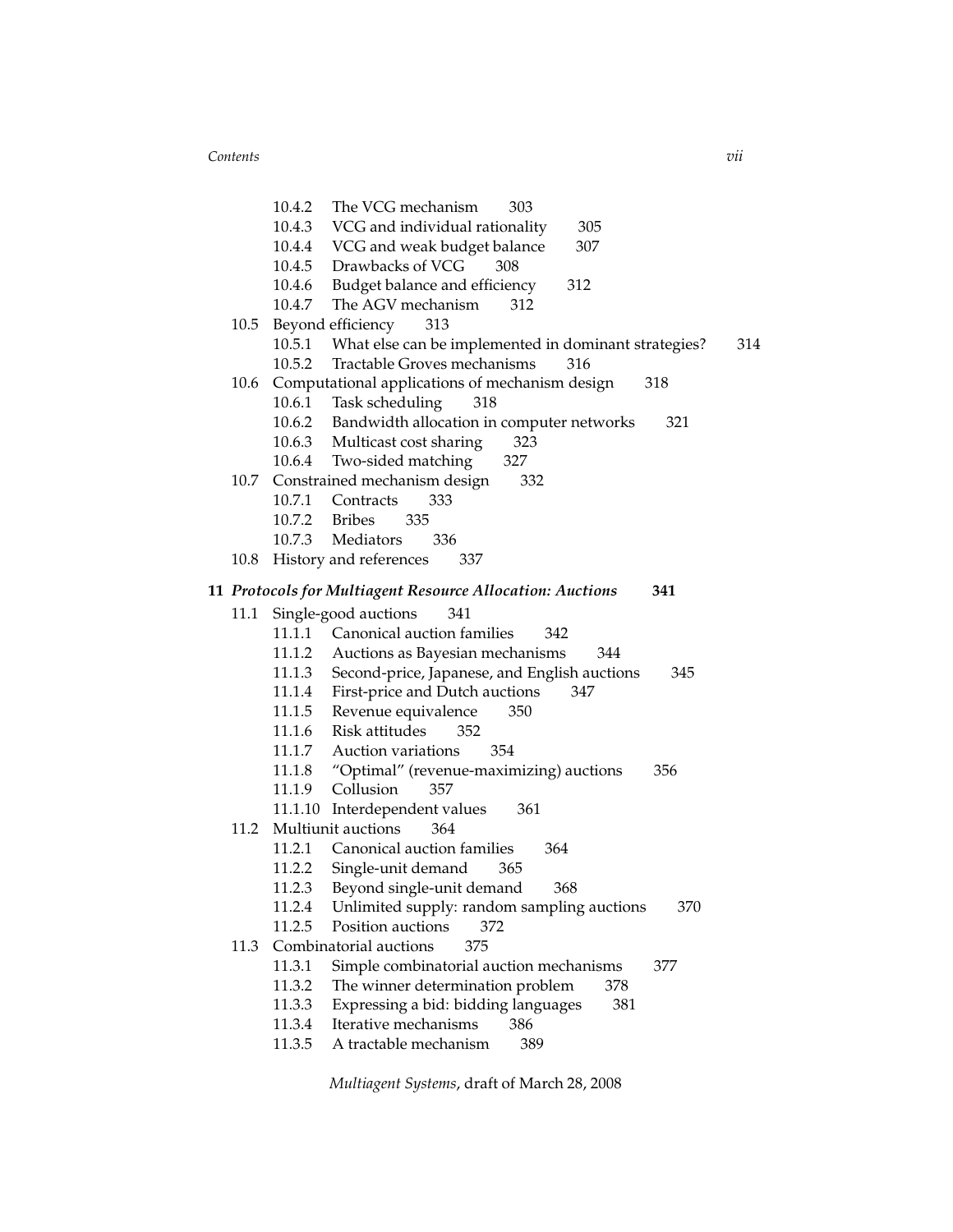*Contents vii*

|      | 10.4.2        | The VCG mechanism<br>303                                    |
|------|---------------|-------------------------------------------------------------|
|      |               | 10.4.3 VCG and individual rationality<br>305                |
|      |               | 10.4.4 VCG and weak budget balance<br>307                   |
|      |               | 10.4.5 Drawbacks of VCG<br>308                              |
|      |               | 10.4.6 Budget balance and efficiency<br>312                 |
|      | 10.4.7        | The AGV mechanism<br>312                                    |
| 10.5 |               | Beyond efficiency<br>313                                    |
|      | 10.5.1        | What else can be implemented in dominant strategies?<br>314 |
|      | 10.5.2        | Tractable Groves mechanisms<br>316                          |
| 10.6 |               | Computational applications of mechanism design<br>318       |
|      | 10.6.1        | Task scheduling<br>318                                      |
|      |               | 10.6.2 Bandwidth allocation in computer networks<br>321     |
|      |               | 10.6.3 Multicast cost sharing<br>323                        |
|      |               | 10.6.4 Two-sided matching<br>327                            |
|      |               | 10.7 Constrained mechanism design<br>332                    |
|      |               | 10.7.1 Contracts<br>333                                     |
|      | 10.7.2 Bribes | 335                                                         |
|      |               | 10.7.3 Mediators<br>336                                     |
|      |               | 10.8 History and references<br>337                          |
|      |               | 341                                                         |
|      |               | 11 Protocols for Multiagent Resource Allocation: Auctions   |
| 11.1 |               | Single-good auctions<br>341                                 |
|      | 11.1.1        | Canonical auction families<br>342                           |
|      | 11.1.2        | Auctions as Bayesian mechanisms<br>344                      |
|      | 11.1.3        | Second-price, Japanese, and English auctions<br>345         |
|      | 11.1.4        | First-price and Dutch auctions<br>347                       |
|      |               | 11.1.5 Revenue equivalence<br>350                           |
|      |               | 11.1.6 Risk attitudes<br>352                                |
|      |               | 11.1.7 Auction variations<br>354                            |
|      |               | 11.1.8 "Optimal" (revenue-maximizing) auctions<br>356       |
|      |               | 11.1.9 Collusion<br>357                                     |
|      |               | 11.1.10 Interdependent values<br>361                        |
| 11.2 |               | Multiunit auctions<br>364                                   |
|      | 11.2.1        | Canonical auction families<br>364                           |
|      | 11.2.2        | Single-unit demand<br>365                                   |
|      |               | 11.2.3 Beyond single-unit demand<br>368                     |
|      | 11.2.4        | 370<br>Unlimited supply: random sampling auctions           |
|      | 11.2.5        | 372<br>Position auctions                                    |
| 11.3 |               | Combinatorial auctions<br>375                               |
|      | 11.3.1        | Simple combinatorial auction mechanisms<br>377              |
|      | 11.3.2        | The winner determination problem<br>378                     |
|      | 11.3.3        | Expressing a bid: bidding languages<br>381                  |

- 11.3.4 Iterative mechanisms 386
- 11.3.5 A tractable mechanism 389

*Multiagent Systems*, draft of March 28, 2008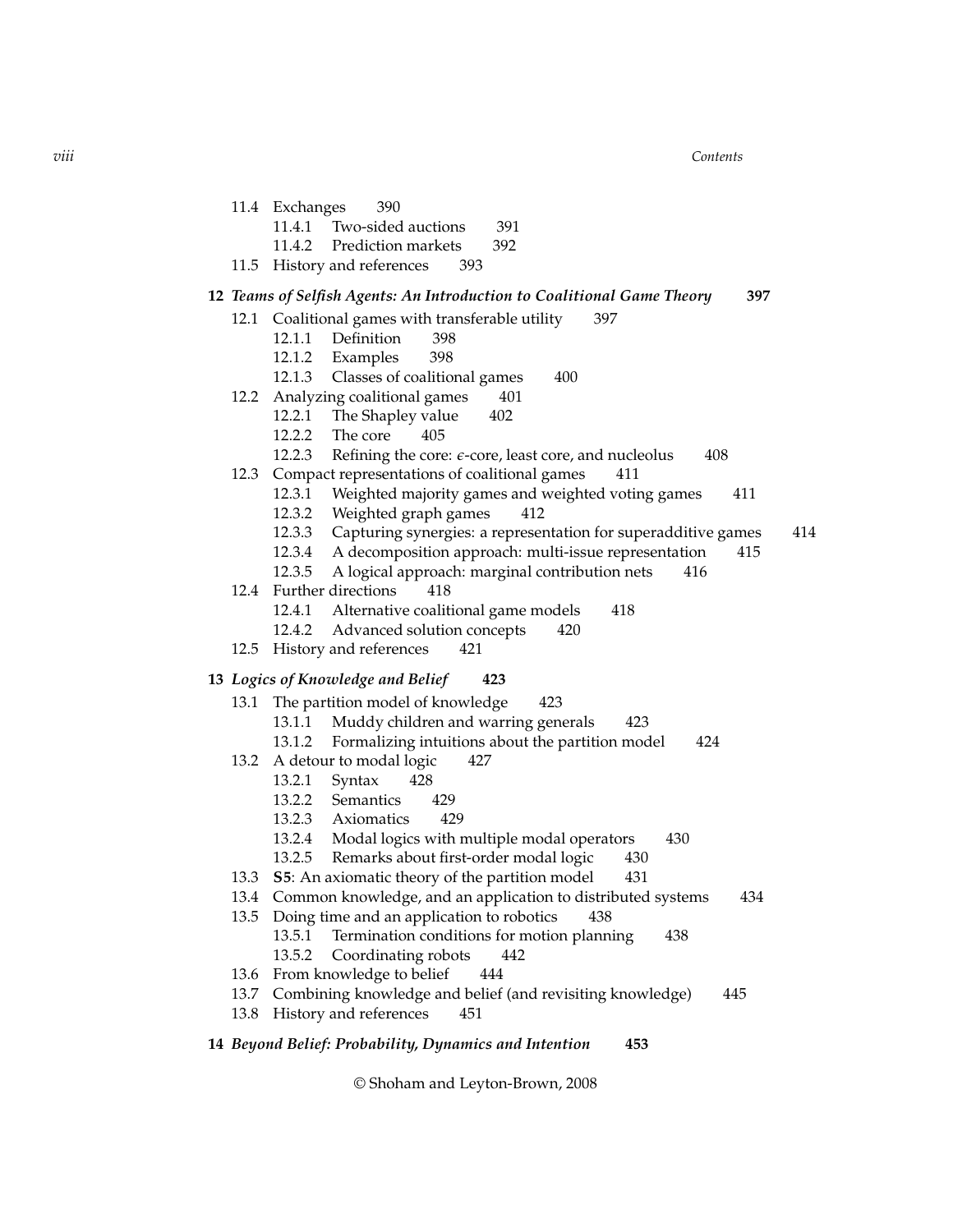*viii Contents*

- 11.4 Exchanges 390
	- 11.4.1 Two-sided auctions 391
	- 11.4.2 Prediction markets 392
- 11.5 History and references 393

#### **12** *Teams of Selfish Agents: An Introduction to Coalitional Game Theory* **397**

- 12.1 Coalitional games with transferable utility 397
	- 12.1.1 Definition 398
	- 12.1.2 Examples 398
	- 12.1.3 Classes of coalitional games 400
- 12.2 Analyzing coalitional games 401
	- 12.2.1 The Shapley value 402
	- 12.2.2 The core 405
	- 12.2.3 Refining the core: *ε*-core, least core, and nucleolus 408
- 12.3 Compact representations of coalitional games 411
	- 12.3.1 Weighted majority games and weighted voting games 411
	- 12.3.2 Weighted graph games 412
	- 12.3.3 Capturing synergies: a representation for superadditive games 414
	- 12.3.4 A decomposition approach: multi-issue representation 415
	- 12.3.5 A logical approach: marginal contribution nets 416
- 12.4 Further directions 418
	- 12.4.1 Alternative coalitional game models 418
	- 12.4.2 Advanced solution concepts 420
- 12.5 History and references 421

#### **13** *Logics of Knowledge and Belief* **423**

- 13.1 The partition model of knowledge 423
	- 13.1.1 Muddy children and warring generals 423
	- 13.1.2 Formalizing intuitions about the partition model 424
- 13.2 A detour to modal logic 427
	- 13.2.1 Syntax 428
	- 13.2.2 Semantics 429
	- 13.2.3 Axiomatics 429
	- 13.2.4 Modal logics with multiple modal operators 430
	- 13.2.5 Remarks about first-order modal logic 430
- 13.3 **S5**: An axiomatic theory of the partition model 431
- 13.4 Common knowledge, and an application to distributed systems 434
- 13.5 Doing time and an application to robotics 438
	- 13.5.1 Termination conditions for motion planning 438
	- 13.5.2 Coordinating robots 442
- 13.6 From knowledge to belief 444
- 13.7 Combining knowledge and belief (and revisiting knowledge) 445
- 13.8 History and references 451
- **14** *Beyond Belief: Probability, Dynamics and Intention* **453**

© Shoham and Leyton-Brown, 2008